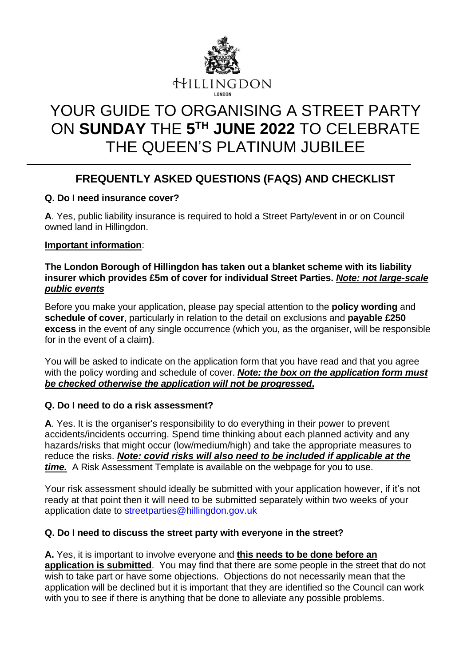

# YOUR GUIDE TO ORGANISING A STREET PARTY ON **SUNDAY** THE **5 TH JUNE 2022** TO CELEBRATE THE QUEEN'S PLATINUM JUBILEE

# **FREQUENTLY ASKED QUESTIONS (FAQS) AND CHECKLIST**

#### **Q. Do I need insurance cover?**

**A**. Yes, public liability insurance is required to hold a Street Party/event in or on Council owned land in Hillingdon.

#### **Important information**:

#### **The London Borough of Hillingdon has taken out a blanket scheme with its liability insurer which provides £5m of cover for individual Street Parties.** *Note: not large-scale public events*

Before you make your application, please pay special attention to the **policy wording** and **schedule of cover**, particularly in relation to the detail on exclusions and **payable £250 excess** in the event of any single occurrence (which you, as the organiser, will be responsible for in the event of a claim**)**.

You will be asked to indicate on the application form that you have read and that you agree with the policy wording and schedule of cover. *Note: the box on the application form must be checked otherwise the application will not be progressed***.**

#### **Q. Do I need to do a risk assessment?**

**A**. Yes. It is the organiser's responsibility to do everything in their power to prevent accidents/incidents occurring. Spend time thinking about each planned activity and any hazards/risks that might occur (low/medium/high) and take the appropriate measures to reduce the risks. *Note: covid risks will also need to be included if applicable at the time.* A Risk Assessment Template is available on the webpage for you to use.

Your risk assessment should ideally be submitted with your application however, if it's not ready at that point then it will need to be submitted separately within two weeks of your application date to streetparties@hillingdon.gov.uk

#### **Q. Do I need to discuss the street party with everyone in the street?**

#### **A.** Yes, it is important to involve everyone and **this needs to be done before an**

**application is submitted**. You may find that there are some people in the street that do not wish to take part or have some objections. Objections do not necessarily mean that the application will be declined but it is important that they are identified so the Council can work with you to see if there is anything that be done to alleviate any possible problems.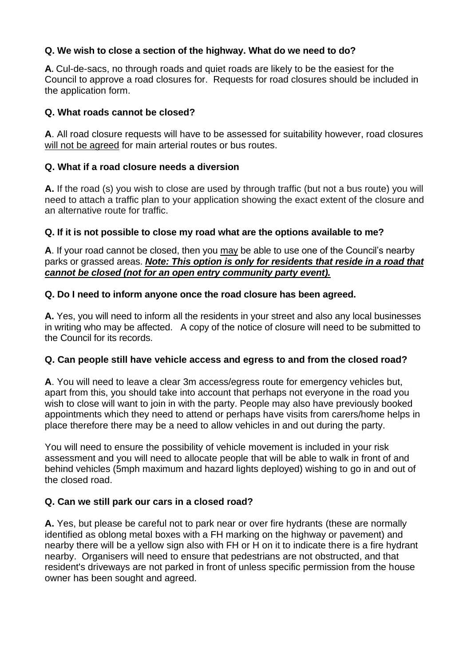#### **Q. We wish to close a section of the highway. What do we need to do?**

**A.** Cul-de-sacs, no through roads and quiet roads are likely to be the easiest for the Council to approve a road closures for. Requests for road closures should be included in the application form.

#### **Q. What roads cannot be closed?**

**A**. All road closure requests will have to be assessed for suitability however, road closures will not be agreed for main arterial routes or bus routes.

# **Q. What if a road closure needs a diversion**

**A.** If the road (s) you wish to close are used by through traffic (but not a bus route) you will need to attach a traffic plan to your application showing the exact extent of the closure and an alternative route for traffic.

# **Q. If it is not possible to close my road what are the options available to me?**

**A**. If your road cannot be closed, then you may be able to use one of the Council's nearby parks or grassed areas. *Note: This option is only for residents that reside in a road that cannot be closed (not for an open entry community party event).*

# **Q. Do I need to inform anyone once the road closure has been agreed.**

**A.** Yes, you will need to inform all the residents in your street and also any local businesses in writing who may be affected. A copy of the notice of closure will need to be submitted to the Council for its records.

#### **Q. Can people still have vehicle access and egress to and from the closed road?**

**A**. You will need to leave a clear 3m access/egress route for emergency vehicles but, apart from this, you should take into account that perhaps not everyone in the road you wish to close will want to join in with the party. People may also have previously booked appointments which they need to attend or perhaps have visits from carers/home helps in place therefore there may be a need to allow vehicles in and out during the party.

You will need to ensure the possibility of vehicle movement is included in your risk assessment and you will need to allocate people that will be able to walk in front of and behind vehicles (5mph maximum and hazard lights deployed) wishing to go in and out of the closed road.

# **Q. Can we still park our cars in a closed road?**

**A.** Yes, but please be careful not to park near or over fire hydrants (these are normally identified as oblong metal boxes with a FH marking on the highway or pavement) and nearby there will be a yellow sign also with FH or H on it to indicate there is a fire hydrant nearby. Organisers will need to ensure that pedestrians are not obstructed, and that resident's driveways are not parked in front of unless specific permission from the house owner has been sought and agreed.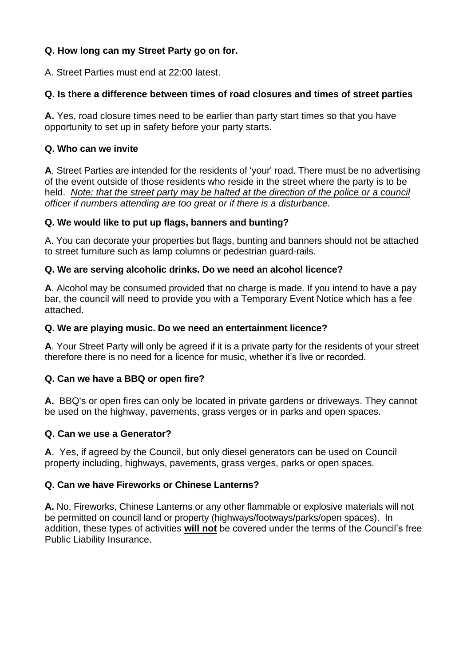# **Q. How long can my Street Party go on for.**

A. Street Parties must end at 22:00 latest.

#### **Q. Is there a difference between times of road closures and times of street parties**

**A.** Yes, road closure times need to be earlier than party start times so that you have opportunity to set up in safety before your party starts.

#### **Q. Who can we invite**

**A**. Street Parties are intended for the residents of 'your' road. There must be no advertising of the event outside of those residents who reside in the street where the party is to be held. *Note: that the street party may be halted at the direction of the police or a council officer if numbers attending are too great or if there is a disturbance.*

#### **Q. We would like to put up flags, banners and bunting?**

A. You can decorate your properties but flags, bunting and banners should not be attached to street furniture such as lamp columns or pedestrian guard-rails.

#### **Q. We are serving alcoholic drinks. Do we need an alcohol licence?**

**A**. Alcohol may be consumed provided that no charge is made. If you intend to have a pay bar, the council will need to provide you with a Temporary Event Notice which has a fee attached.

#### **Q. We are playing music. Do we need an entertainment licence?**

**A**. Your Street Party will only be agreed if it is a private party for the residents of your street therefore there is no need for a licence for music, whether it's live or recorded.

#### **Q. Can we have a BBQ or open fire?**

**A.** BBQ's or open fires can only be located in private gardens or driveways. They cannot be used on the highway, pavements, grass verges or in parks and open spaces.

#### **Q. Can we use a Generator?**

**A**. Yes, if agreed by the Council, but only diesel generators can be used on Council property including, highways, pavements, grass verges, parks or open spaces.

#### **Q. Can we have Fireworks or Chinese Lanterns?**

**A.** No, Fireworks, Chinese Lanterns or any other flammable or explosive materials will not be permitted on council land or property (highways/footways/parks/open spaces). In addition, these types of activities **will not** be covered under the terms of the Council's free Public Liability Insurance.